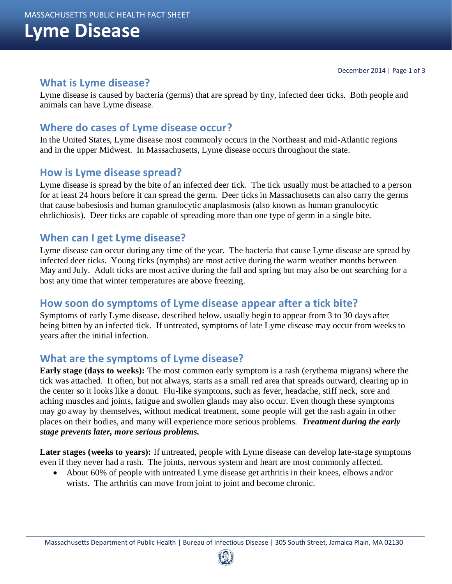# **Lyme Disease**

## **What is Lyme disease?**

Lyme disease is caused by bacteria (germs) that are spread by tiny, infected deer ticks. Both people and animals can have Lyme disease.

## **Where do cases of Lyme disease occur?**

In the United States, Lyme disease most commonly occurs in the Northeast and mid-Atlantic regions and in the upper Midwest. In Massachusetts, Lyme disease occurs throughout the state.

## **How is Lyme disease spread?**

Lyme disease is spread by the bite of an infected deer tick. The tick usually must be attached to a person for at least 24 hours before it can spread the germ. Deer ticks in Massachusetts can also carry the germs that cause babesiosis and human granulocytic anaplasmosis (also known as human granulocytic ehrlichiosis). Deer ticks are capable of spreading more than one type of germ in a single bite.

## **When can I get Lyme disease?**

Lyme disease can occur during any time of the year. The bacteria that cause Lyme disease are spread by infected deer ticks. Young ticks (nymphs) are most active during the warm weather months between May and July. Adult ticks are most active during the fall and spring but may also be out searching for a host any time that winter temperatures are above freezing.

## **How soon do symptoms of Lyme disease appear after a tick bite?**

Symptoms of early Lyme disease, described below, usually begin to appear from 3 to 30 days after being bitten by an infected tick. If untreated, symptoms of late Lyme disease may occur from weeks to years after the initial infection.

## **What are the symptoms of Lyme disease?**

**Early stage (days to weeks):** The most common early symptom is a rash (erythema migrans) where the tick was attached. It often, but not always, starts as a small red area that spreads outward, clearing up in the center so it looks like a donut. Flu-like symptoms, such as fever, headache, stiff neck, sore and aching muscles and joints, fatigue and swollen glands may also occur. Even though these symptoms may go away by themselves, without medical treatment, some people will get the rash again in other places on their bodies, and many will experience more serious problems. *Treatment during the early stage prevents later, more serious problems.*

**Later stages (weeks to years):** If untreated, people with Lyme disease can develop late-stage symptoms even if they never had a rash. The joints, nervous system and heart are most commonly affected.

 About 60% of people with untreated Lyme disease get arthritis in their knees, elbows and/or wrists. The arthritis can move from joint to joint and become chronic.

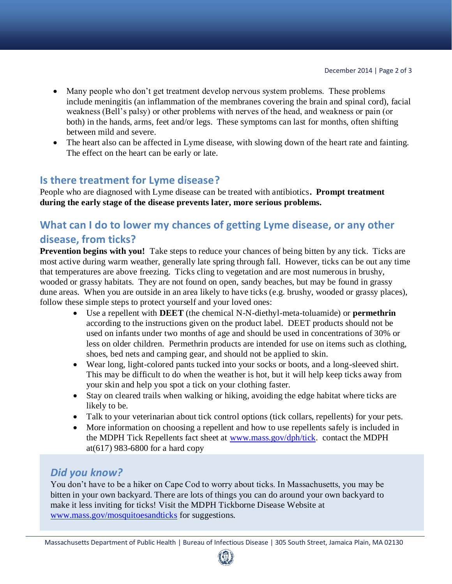- Many people who don't get treatment develop nervous system problems. These problems include meningitis (an inflammation of the membranes covering the brain and spinal cord), facial weakness (Bell's palsy) or other problems with nerves of the head, and weakness or pain (or both) in the hands, arms, feet and/or legs. These symptoms can last for months, often shifting between mild and severe.
- The heart also can be affected in Lyme disease, with slowing down of the heart rate and fainting. The effect on the heart can be early or late.

## **Is there treatment for Lyme disease?**

People who are diagnosed with Lyme disease can be treated with antibiotics**. Prompt treatment during the early stage of the disease prevents later, more serious problems.**

## **What can I do to lower my chances of getting Lyme disease, or any other disease, from ticks?**

**Prevention begins with you!** Take steps to reduce your chances of being bitten by any tick. Ticks are most active during warm weather, generally late spring through fall. However, ticks can be out any time that temperatures are above freezing. Ticks cling to vegetation and are most numerous in brushy, wooded or grassy habitats. They are not found on open, sandy beaches, but may be found in grassy dune areas. When you are outside in an area likely to have ticks (e.g. brushy, wooded or grassy places), follow these simple steps to protect yourself and your loved ones:

- Use a repellent with **DEET** (the chemical N-N-diethyl-meta-toluamide) or **permethrin**  according to the instructions given on the product label. DEET products should not be used on infants under two months of age and should be used in concentrations of 30% or less on older children. Permethrin products are intended for use on items such as clothing, shoes, bed nets and camping gear, and should not be applied to skin.
- Wear long, light-colored pants tucked into your socks or boots, and a long-sleeved shirt. This may be difficult to do when the weather is hot, but it will help keep ticks away from your skin and help you spot a tick on your clothing faster.
- Stay on cleared trails when walking or hiking, avoiding the edge habitat where ticks are likely to be.
- Talk to your veterinarian about tick control options (tick collars, repellents) for your pets.
- More information on choosing a repellent and how to use repellents safely is included in the MDPH Tick Repellents fact sheet at [www.mass.gov/dph/tick.](http://www.mass.gov/?pageID=eohhs2subtopic&L=6&L0=Home&L1=Consumer&L2=Prevention+and+Wellness&L3=Disease+Prevention&L4=Communicable+Diseases&L5=Tickborne+Diseases&sid=Eeohhs2) contact the MDPH at(617) 983-6800 for a hard copy

## *Did you know?*

You don't have to be a hiker on Cape Cod to worry about ticks. In Massachusetts, you may be bitten in your own backyard. There are lots of things you can do around your own backyard to make it less inviting for ticks! Visit the MDPH Tickborne Disease Website at [www.mass.gov/mosquitoesandticks](http://www.mass.gov/mosquitoesandticks) for suggestions.